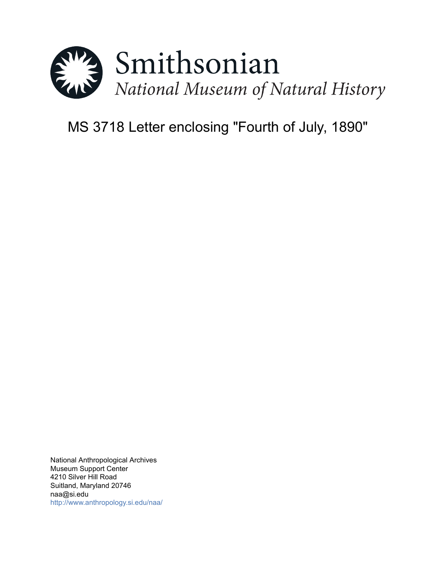

# MS 3718 Letter enclosing "Fourth of July, 1890"

National Anthropological Archives Museum Support Center 4210 Silver Hill Road Suitland, Maryland 20746 naa@si.edu <http://www.anthropology.si.edu/naa/>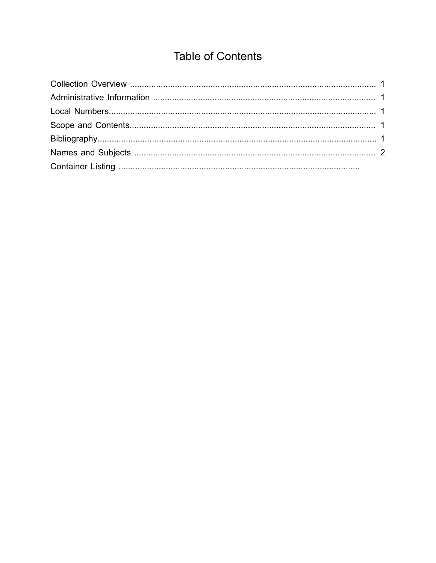## **Table of Contents**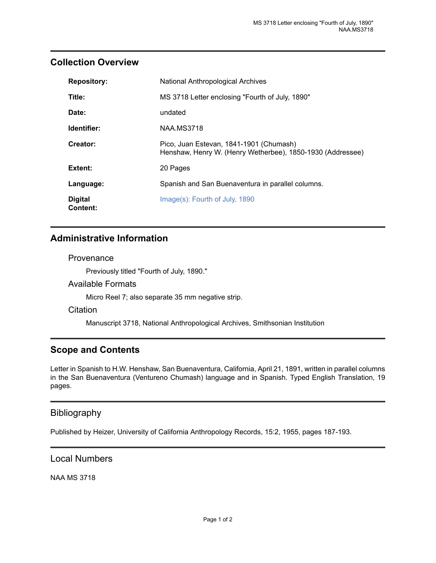## <span id="page-2-0"></span>**Collection Overview**

| <b>Repository:</b>         | National Anthropological Archives                                                                     |
|----------------------------|-------------------------------------------------------------------------------------------------------|
| Title:                     | MS 3718 Letter enclosing "Fourth of July, 1890"                                                       |
| Date:                      | undated                                                                                               |
| Identifier:                | <b>NAA.MS3718</b>                                                                                     |
| Creator:                   | Pico, Juan Estevan, 1841-1901 (Chumash)<br>Henshaw, Henry W. (Henry Wetherbee), 1850-1930 (Addressee) |
| Extent:                    | 20 Pages                                                                                              |
| Language:                  | Spanish and San Buenaventura in parallel columns.                                                     |
| <b>Digital</b><br>Content: | Image(s): Fourth of July, 1890                                                                        |

## <span id="page-2-1"></span>**Administrative Information**

#### **Provenance**

Previously titled "Fourth of July, 1890."

#### Available Formats

Micro Reel 7; also separate 35 mm negative strip.

#### **Citation**

Manuscript 3718, National Anthropological Archives, Smithsonian Institution

## <span id="page-2-3"></span>**Scope and Contents**

Letter in Spanish to H.W. Henshaw, San Buenaventura, California, April 21, 1891, written in parallel columns in the San Buenaventura (Ventureno Chumash) language and in Spanish. Typed English Translation, 19 pages.

## <span id="page-2-4"></span>Bibliography

Published by Heizer, University of California Anthropology Records, 15:2, 1955, pages 187-193.

### <span id="page-2-2"></span>Local Numbers

NAA MS 3718